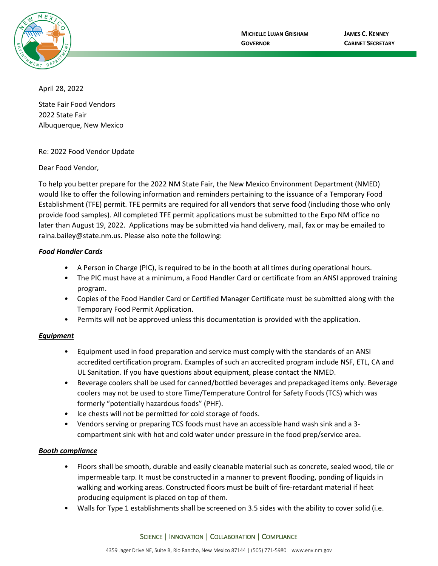

April 28, 2022

State Fair Food Vendors 2022 State Fair Albuquerque, New Mexico

Re: 2022 Food Vendor Update

Dear Food Vendor,

To help you better prepare for the 2022 NM State Fair, the New Mexico Environment Department (NMED) would like to offer the following information and reminders pertaining to the issuance of a Temporary Food Establishment (TFE) permit. TFE permits are required for all vendors that serve food (including those who only provide food samples). All completed TFE permit applications must be submitted to the Expo NM office no later than August 19, 2022. Applications may be submitted via hand delivery, mail, fax or may be emailed to raina.bailey@state.nm.us. Please also note the following:

#### *Food Handler Cards*

- A Person in Charge (PIC), is required to be in the booth at all times during operational hours.
- The PIC must have at a minimum, a Food Handler Card or certificate from an ANSI approved training program.
- Copies of the Food Handler Card or Certified Manager Certificate must be submitted along with the Temporary Food Permit Application.
- Permits will not be approved unless this documentation is provided with the application.

#### *Equipment*

- Equipment used in food preparation and service must comply with the standards of an ANSI accredited certification program. Examples of such an accredited program include NSF, ETL, CA and UL Sanitation. If you have questions about equipment, please contact the NMED.
- Beverage coolers shall be used for canned/bottled beverages and prepackaged items only. Beverage coolers may not be used to store Time/Temperature Control for Safety Foods (TCS) which was formerly "potentially hazardous foods" (PHF).
- Ice chests will not be permitted for cold storage of foods.
- Vendors serving or preparing TCS foods must have an accessible hand wash sink and a 3 compartment sink with hot and cold water under pressure in the food prep/service area.

#### *Booth compliance*

- Floors shall be smooth, durable and easily cleanable material such as concrete, sealed wood, tile or impermeable tarp. It must be constructed in a manner to prevent flooding, ponding of liquids in walking and working areas. Constructed floors must be built of fire-retardant material if heat producing equipment is placed on top of them.
- Walls for Type 1 establishments shall be screened on 3.5 sides with the ability to cover solid (i.e.

#### SCIENCE | INNOVATION | COLLABORATION | COMPLIANCE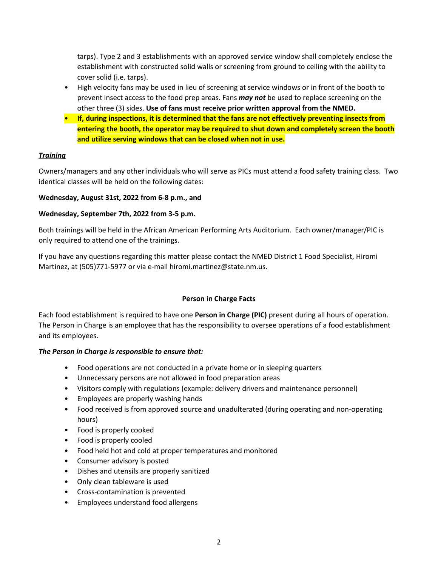tarps). Type 2 and 3 establishments with an approved service window shall completely enclose the establishment with constructed solid walls or screening from ground to ceiling with the ability to cover solid (i.e. tarps).

- High velocity fans may be used in lieu of screening at service windows or in front of the booth to prevent insect access to the food prep areas. Fans *may not* be used to replace screening on the other three (3) sides. **Use of fans must receive prior written approval from the NMED.**
- **If, during inspections, it is determined that the fans are not effectively preventing insects from entering the booth, the operator may be required to shut down and completely screen the booth and utilize serving windows that can be closed when not in use.**

### *Training*

Owners/managers and any other individuals who will serve as PICs must attend a food safety training class. Two identical classes will be held on the following dates:

#### **Wednesday, August 31st, 2022 from 6-8 p.m., and**

#### **Wednesday, September 7th, 2022 from 3-5 p.m.**

Both trainings will be held in the African American Performing Arts Auditorium. Each owner/manager/PIC is only required to attend one of the trainings.

If you have any questions regarding this matter please contact the NMED District 1 Food Specialist, Hiromi Martinez, at (505)771-5977 or via e-mail hiromi.martinez@state.nm.us.

### **Person in Charge Facts**

Each food establishment is required to have one **Person in Charge (PIC)** present during all hours of operation. The Person in Charge is an employee that has the responsibility to oversee operations of a food establishment and its employees.

#### *The Person in Charge is responsible to ensure that:*

- Food operations are not conducted in a private home or in sleeping quarters
- Unnecessary persons are not allowed in food preparation areas
- Visitors comply with regulations (example: delivery drivers and maintenance personnel)
- Employees are properly washing hands
- Food received is from approved source and unadulterated (during operating and non-operating hours)
- Food is properly cooked
- Food is properly cooled
- Food held hot and cold at proper temperatures and monitored
- Consumer advisory is posted
- Dishes and utensils are properly sanitized
- Only clean tableware is used
- Cross-contamination is prevented
- Employees understand food allergens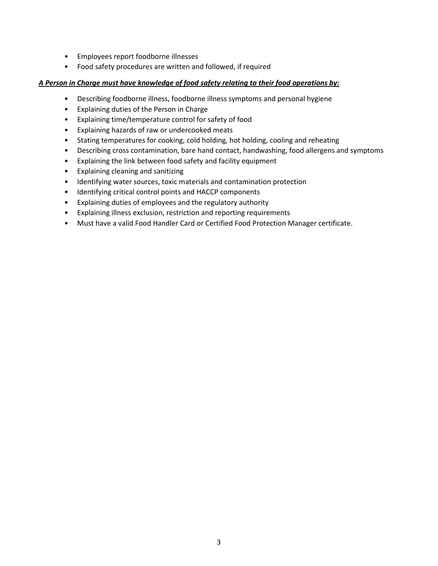- Employees report foodborne illnesses
- Food safety procedures are written and followed, if required

#### *A Person in Charge must have knowledge of food safety relating to their food operations by:*

- Describing foodborne illness, foodborne illness symptoms and personal hygiene
- Explaining duties of the Person in Charge
- Explaining time/temperature control for safety of food
- Explaining hazards of raw or undercooked meats
- Stating temperatures for cooking, cold holding, hot holding, cooling and reheating
- Describing cross contamination, bare hand contact, handwashing, food allergens and symptoms
- Explaining the link between food safety and facility equipment
- Explaining cleaning and sanitizing
- Identifying water sources, toxic materials and contamination protection
- Identifying critical control points and HACCP components
- Explaining duties of employees and the regulatory authority
- Explaining illness exclusion, restriction and reporting requirements
- Must have a valid Food Handler Card or Certified Food Protection Manager certificate.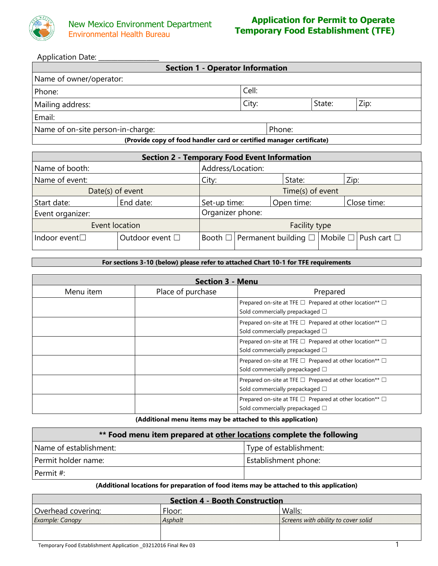

Application Date: \_\_\_\_\_\_\_\_\_\_\_\_\_\_\_\_\_\_\_

| <b>Section 1 - Operator Information</b>                              |       |        |      |  |  |  |
|----------------------------------------------------------------------|-------|--------|------|--|--|--|
| Name of owner/operator:                                              |       |        |      |  |  |  |
| Phone:                                                               | Cell: |        |      |  |  |  |
| Mailing address:                                                     | City: | State: | Zip: |  |  |  |
| Email:                                                               |       |        |      |  |  |  |
| Name of on-site person-in-charge:<br>Phone:                          |       |        |      |  |  |  |
| (Provide copy of food handler card or certified manager certificate) |       |        |      |  |  |  |

| <b>Section 2 - Temporary Food Event Information</b> |                 |                   |                                                                             |            |      |             |
|-----------------------------------------------------|-----------------|-------------------|-----------------------------------------------------------------------------|------------|------|-------------|
| Name of booth:                                      |                 | Address/Location: |                                                                             |            |      |             |
| Name of event:                                      |                 | City:             |                                                                             | State:     | Zip: |             |
| Date(s) of event                                    |                 | Time(s) of event  |                                                                             |            |      |             |
| Start date:                                         | End date:       | Set-up time:      |                                                                             | Open time: |      | Close time: |
| Event organizer:                                    |                 | Organizer phone:  |                                                                             |            |      |             |
| Event location                                      |                 | Facility type     |                                                                             |            |      |             |
| Indoor event <sup>[]</sup>                          | Outdoor event □ |                   | Booth $\Box$   Permanent building $\Box$   Mobile $\Box$   Push cart $\Box$ |            |      |             |

**For sections 3-10 (below) please refer to attached Chart 10-1 for TFE requirements**

| Section 3 - Menu |                   |                                                                                                            |  |  |  |
|------------------|-------------------|------------------------------------------------------------------------------------------------------------|--|--|--|
| Menu item        | Place of purchase | Prepared                                                                                                   |  |  |  |
|                  |                   | Prepared on-site at TFE □ Prepared at other location** □<br>Sold commercially prepackaged □                |  |  |  |
|                  |                   | Prepared on-site at TFE $\Box$ Prepared at other location** $\Box$<br>Sold commercially prepackaged $\Box$ |  |  |  |
|                  |                   | Prepared on-site at TFE $\Box$ Prepared at other location** $\Box$<br>Sold commercially prepackaged □      |  |  |  |
|                  |                   | Prepared on-site at TFE $\Box$ Prepared at other location** $\Box$<br>Sold commercially prepackaged □      |  |  |  |
|                  |                   | Prepared on-site at TFE $\Box$ Prepared at other location** $\Box$<br>Sold commercially prepackaged $\Box$ |  |  |  |
|                  |                   | Prepared on-site at TFE □ Prepared at other location** □<br>Sold commercially prepackaged $\square$        |  |  |  |

**(Additional menu items may be attached to this application)**

| ** Food menu item prepared at other locations complete the following |                        |  |  |
|----------------------------------------------------------------------|------------------------|--|--|
| Name of establishment:                                               | Type of establishment: |  |  |
| Permit holder name:                                                  | Establishment phone:   |  |  |
| Permit #:                                                            |                        |  |  |

**(Additional locations for preparation of food items may be attached to this application)**

| Section 4 - Booth Construction |         |                                     |  |  |  |
|--------------------------------|---------|-------------------------------------|--|--|--|
| Overhead covering:             | Floor:  | Walls:                              |  |  |  |
| Example: Canopy                | Asphalt | Screens with ability to cover solid |  |  |  |
|                                |         |                                     |  |  |  |
|                                |         |                                     |  |  |  |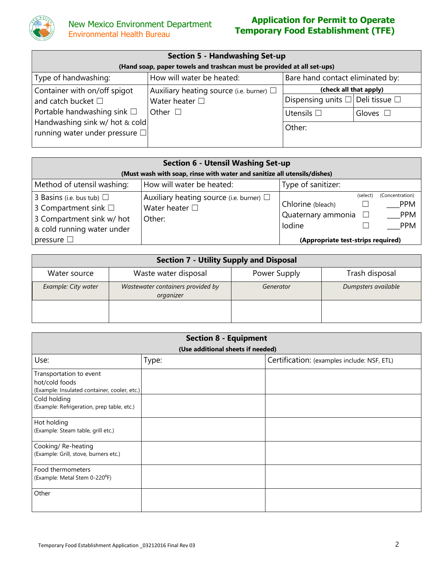

# **Application for Permit to Operate Temporary Food Establishment (TFE)**

| <b>Section 5 - Handwashing Set-up</b>               |                                                                        |                                                  |                        |  |  |  |  |
|-----------------------------------------------------|------------------------------------------------------------------------|--------------------------------------------------|------------------------|--|--|--|--|
|                                                     | (Hand soap, paper towels and trashcan must be provided at all set-ups) |                                                  |                        |  |  |  |  |
| Type of handwashing:                                | How will water be heated:                                              | Bare hand contact eliminated by:                 |                        |  |  |  |  |
| Container with on/off spigot                        | Auxiliary heating source (i.e. burner) $\Box$                          |                                                  | (check all that apply) |  |  |  |  |
| and catch bucket $\Box$                             | Water heater $\square$                                                 | Dispensing units $\square$ Deli tissue $\square$ |                        |  |  |  |  |
| Portable handwashing sink $\square$<br>Other $\Box$ |                                                                        | Utensils $\square$                               | Gloves $\Box$          |  |  |  |  |
|                                                     | Handwashing sink w/ hot & cold<br>Other:                               |                                                  |                        |  |  |  |  |
| running water under pressure $\square$              |                                                                        |                                                  |                        |  |  |  |  |

| <b>Section 6 - Utensil Washing Set-up</b>                                                                                 |                                                                                      |                                                             |          |                                                           |  |
|---------------------------------------------------------------------------------------------------------------------------|--------------------------------------------------------------------------------------|-------------------------------------------------------------|----------|-----------------------------------------------------------|--|
|                                                                                                                           | (Must wash with soap, rinse with water and sanitize all utensils/dishes)             |                                                             |          |                                                           |  |
| Method of utensil washing:                                                                                                | How will water be heated:                                                            | Type of sanitizer:                                          |          |                                                           |  |
| 3 Basins (i.e. bus tub) $\Box$<br>3 Compartment sink $\square$<br>3 Compartment sink w/ hot<br>& cold running water under | Auxiliary heating source (i.e. burner) $\square$<br>Water heater $\square$<br>Other: | Chlorine (bleach)<br>Quaternary ammonia $\square$<br>lodine | (select) | (Concentration)<br><b>PPM</b><br><b>PPM</b><br><b>PPM</b> |  |
| pressure $\square$                                                                                                        |                                                                                      | (Appropriate test-strips required)                          |          |                                                           |  |

| <b>Section 7 - Utility Supply and Disposal</b> |                                                |              |                     |  |  |
|------------------------------------------------|------------------------------------------------|--------------|---------------------|--|--|
| Water source                                   | Waste water disposal                           | Power Supply | Trash disposal      |  |  |
| Example: City water                            | Wastewater containers provided by<br>organizer | Generator    | Dumpsters available |  |  |
|                                                |                                                |              |                     |  |  |

| <b>Section 8 - Equipment</b>                                                              |                                   |                                             |  |  |  |
|-------------------------------------------------------------------------------------------|-----------------------------------|---------------------------------------------|--|--|--|
|                                                                                           | (Use additional sheets if needed) |                                             |  |  |  |
| Use:                                                                                      | Type:                             | Certification: (examples include: NSF, ETL) |  |  |  |
| Transportation to event<br>hot/cold foods<br>(Example: Insulated container, cooler, etc.) |                                   |                                             |  |  |  |
| Cold holding<br>(Example: Refrigeration, prep table, etc.)                                |                                   |                                             |  |  |  |
| Hot holding<br>(Example: Steam table, grill etc.)                                         |                                   |                                             |  |  |  |
| Cooking/Re-heating<br>(Example: Grill, stove, burners etc.)                               |                                   |                                             |  |  |  |
| Food thermometers<br>(Example: Metal Stem 0-220 <sup>°</sup> F)                           |                                   |                                             |  |  |  |
| Other                                                                                     |                                   |                                             |  |  |  |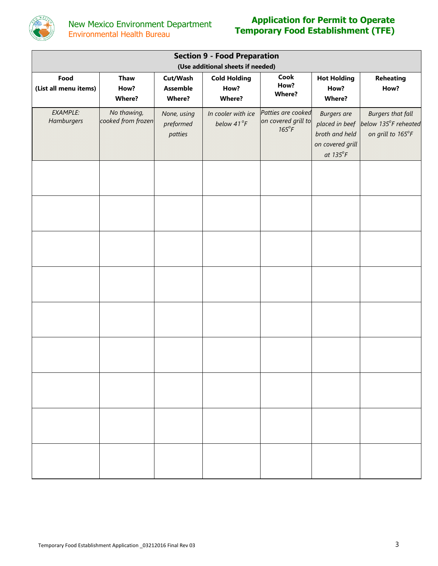

# **Application for Permit to Operate Temporary Food Establishment (TFE)**

| <b>Section 9 - Food Preparation</b><br>(Use additional sheets if needed) |                                   |                                     |                                  |                                                             |                                                                                                 |                                                                       |
|--------------------------------------------------------------------------|-----------------------------------|-------------------------------------|----------------------------------|-------------------------------------------------------------|-------------------------------------------------------------------------------------------------|-----------------------------------------------------------------------|
| Food                                                                     | <b>Thaw</b>                       | Cut/Wash                            | <b>Cold Holding</b>              | Cook<br>How?                                                | <b>Hot Holding</b>                                                                              | <b>Reheating</b>                                                      |
| (List all menu items)                                                    | How?<br><b>Where?</b>             | <b>Assemble</b><br><b>Where?</b>    | How?<br><b>Where?</b>            | <b>Where?</b>                                               | How?<br><b>Where?</b>                                                                           | How?                                                                  |
| EXAMPLE:<br>Hamburgers                                                   | No thawing,<br>cooked from frozen | None, using<br>preformed<br>patties | In cooler with ice<br>below 41°F | Patties are cooked<br>on covered grill to<br>$165^{\circ}F$ | <b>Burgers</b> are<br>placed in beef<br>broth and held<br>on covered grill<br>at $135^{\circ}F$ | <b>Burgers that fall</b><br>below 135°F reheated<br>on grill to 165°F |
|                                                                          |                                   |                                     |                                  |                                                             |                                                                                                 |                                                                       |
|                                                                          |                                   |                                     |                                  |                                                             |                                                                                                 |                                                                       |
|                                                                          |                                   |                                     |                                  |                                                             |                                                                                                 |                                                                       |
|                                                                          |                                   |                                     |                                  |                                                             |                                                                                                 |                                                                       |
|                                                                          |                                   |                                     |                                  |                                                             |                                                                                                 |                                                                       |
|                                                                          |                                   |                                     |                                  |                                                             |                                                                                                 |                                                                       |
|                                                                          |                                   |                                     |                                  |                                                             |                                                                                                 |                                                                       |
|                                                                          |                                   |                                     |                                  |                                                             |                                                                                                 |                                                                       |
|                                                                          |                                   |                                     |                                  |                                                             |                                                                                                 |                                                                       |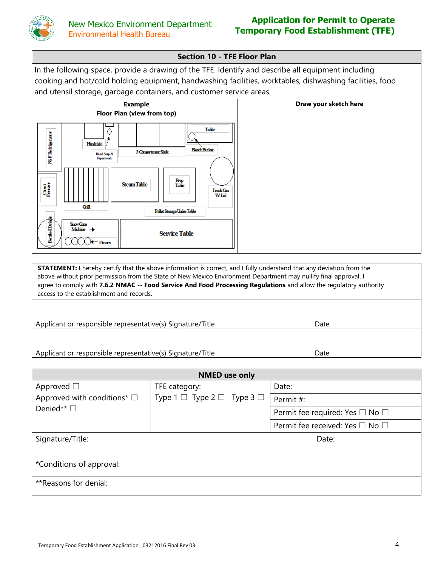

## **Application for Permit to Operate Temporary Food Establishment (TFE)**

## **Section 10 - TFE Floor Plan**

In the following space, provide a drawing of the TFE. Identify and describe all equipment including cooking and hot/cold holding equipment, handwashing facilities, worktables, dishwashing facilities, food and utensil storage, garbage containers, and customer service areas.



**STATEMENT:** I hereby certify that the above information is correct, and I fully understand that any deviation from the above without prior permission from the State of New Mexico Environment Department may nullify final approval. I agree to comply with **7.6.2 NMAC -- Food Service And Food Processing Regulations** and allow the regulatory authority access to the establishment and records.

Applicant or responsible representative(s) Signature/Title **Date** Date

Applicant or responsible representative(s) Signature/Title date

| <b>NMED</b> use only                |                                                    |                                           |  |  |  |  |
|-------------------------------------|----------------------------------------------------|-------------------------------------------|--|--|--|--|
| Approved $\square$                  | TFE category:                                      | Date:                                     |  |  |  |  |
| Approved with conditions* $\square$ | Type $1 \square$ Type $2 \square$ Type $3 \square$ | Permit #:                                 |  |  |  |  |
| Denied** $\square$                  |                                                    | Permit fee required: Yes $\Box$ No $\Box$ |  |  |  |  |
|                                     |                                                    | Permit fee received: Yes □ No □           |  |  |  |  |
| Signature/Title:                    |                                                    | Date:                                     |  |  |  |  |
|                                     |                                                    |                                           |  |  |  |  |
| *Conditions of approval:            |                                                    |                                           |  |  |  |  |
| **Reasons for denial:               |                                                    |                                           |  |  |  |  |